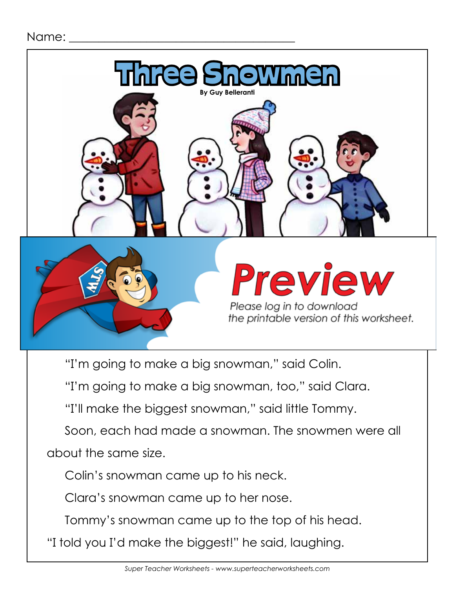

"I'm going to make a big snowman," said Colin.

"I'm going to make a big snowman, too," said Clara.

"I'll make the biggest snowman," said little Tommy.

Soon, each had made a snowman. The snowmen were all about the same size.

Colin's snowman came up to his neck.

Clara's snowman came up to her nose.

Tommy's snowman came up to the top of his head.

"I told you I'd make the biggest!" he said, laughing.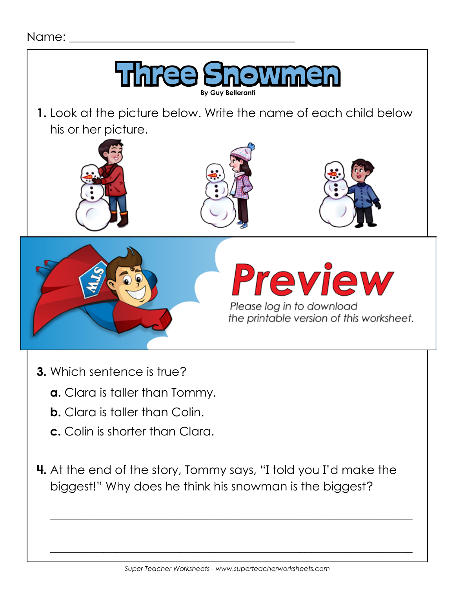

- **3.** Which sentence is true?
	- **a.** Clara is taller than Tommy.
	- **b.** Clara is taller than Colin.
	- **c.** Colin is shorter than Clara.
- **4.** At the end of the story, Tommy says, "I told you I'd make the biggest!" Why does he think his snowman is the biggest?

 **\_\_\_\_\_\_\_\_\_\_\_\_\_\_\_\_\_\_\_\_\_\_\_\_\_\_\_\_\_\_\_\_\_\_\_\_\_\_\_\_\_\_\_\_\_\_\_\_\_\_\_\_\_\_\_\_\_\_\_\_\_**

 **\_\_\_\_\_\_\_\_\_\_\_\_\_\_\_\_\_\_\_\_\_\_\_\_\_\_\_\_\_\_\_\_\_\_\_\_\_\_\_\_\_\_\_\_\_\_\_\_\_\_\_\_\_\_\_\_\_\_\_\_\_**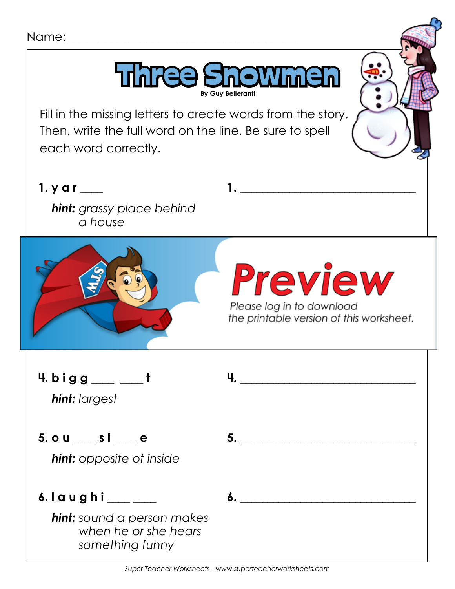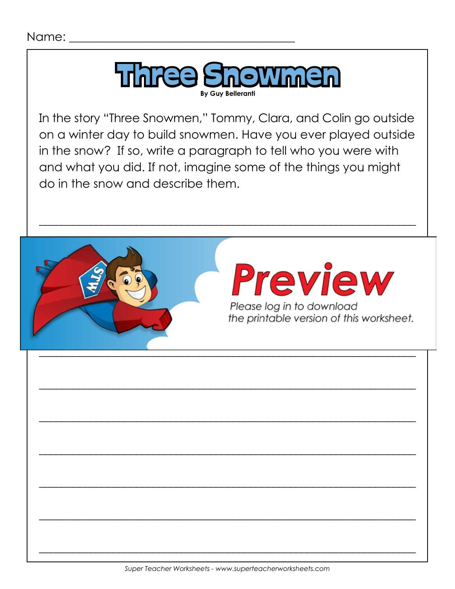Name:

![](_page_3_Picture_1.jpeg)

In the story "Three Snowmen," Tommy, Clara, and Colin go outside on a winter day to build snowmen. Have you ever played outside in the snow? If so, write a paragraph to tell who you were with and what you did. If not, imagine some of the things you might do in the snow and describe them.

![](_page_3_Picture_3.jpeg)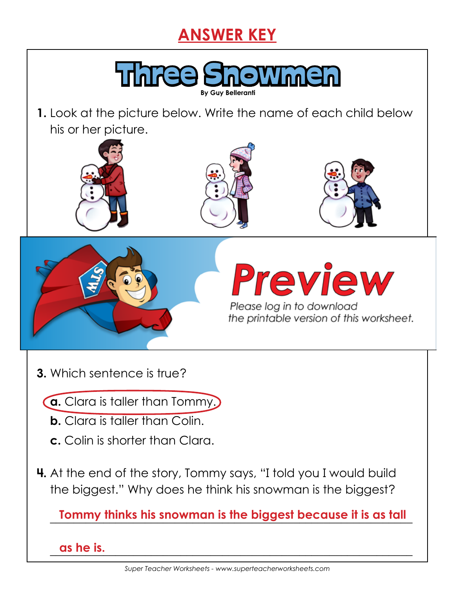## **ANSWER KEY**

![](_page_4_Picture_1.jpeg)

**1.** Look at the picture below. Write the name of each child below his or her picture.

![](_page_4_Picture_3.jpeg)

![](_page_4_Picture_4.jpeg)

![](_page_4_Picture_5.jpeg)

![](_page_4_Picture_6.jpeg)

![](_page_4_Picture_7.jpeg)

Please log in to download

**3.** Which sentence is true?

**a.** Clara is taller than Tommy.

- **b.** Clara is taller than Colin.
- **c.** Colin is shorter than Clara.
- **4.** At the end of the story, Tommy says, "I told you I would build the biggest." Why does he think his snowman is the biggest?

**Tommy thinks his snowman is the biggest because it is as tall** 

 **\_\_\_\_\_\_\_\_\_\_\_\_\_\_\_\_\_\_\_\_\_\_\_\_\_\_\_\_\_\_\_\_\_\_\_\_\_\_\_\_\_\_\_\_\_\_\_\_\_\_\_\_\_\_\_\_\_\_\_\_\_ as he is.**